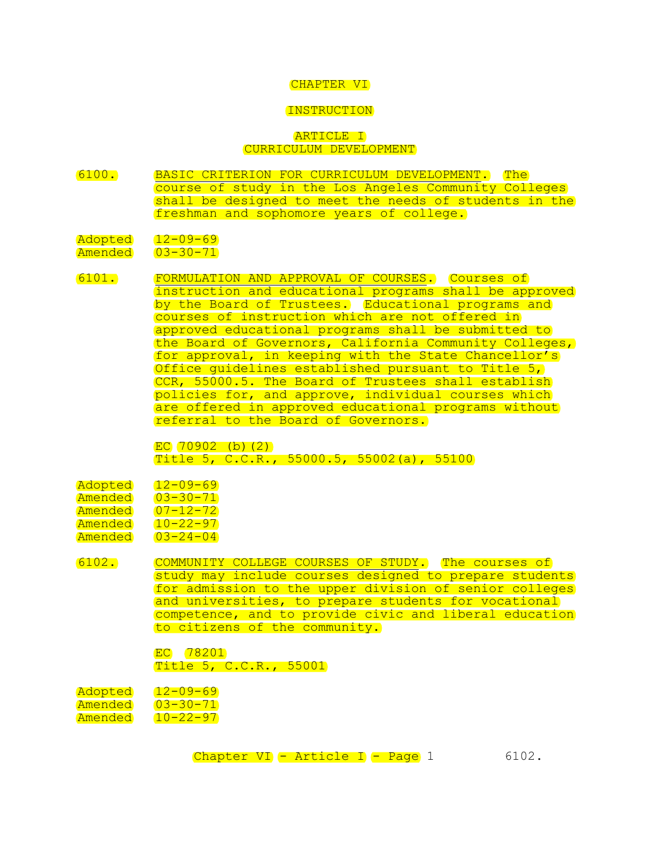#### CHAPTER VI

#### INSTRUCTION

## ARTICLE I CURRICULUM DEVELOPMENT

6100. BASIC CRITERION FOR CURRICULUM DEVELOPMENT. The course of study in the Los Angeles Community Colleges shall be designed to meet the needs of students in the freshman and sophomore years of college.

## Adopted 12-09-69

Amended 03-30-71

6101. FORMULATION AND APPROVAL OF COURSES. Courses of instruction and educational programs shall be approved by the Board of Trustees. Educational programs and courses of instruction which are not offered in approved educational programs shall be submitted to the Board of Governors, California Community Colleges, for approval, in keeping with the State Chancellor's Office guidelines established pursuant to Title 5, CCR, 55000.5. The Board of Trustees shall establish policies for, and approve, individual courses which are offered in approved educational programs without referral to the Board of Governors.

> $EC 70902$  (b)(2) Title 5, C.C.R., 55000.5, 55002(a), 55100

| Adopted        | $12 - 09 - 69$ |
|----------------|----------------|
| Amended        | $03 - 30 - 71$ |
| Amended        | $07 - 12 - 72$ |
| <u>Amended</u> | $10 - 22 - 97$ |
| Amended        | $03 - 24 - 04$ |

6102. COMMUNITY COLLEGE COURSES OF STUDY. The courses of study may include courses designed to prepare students for admission to the upper division of senior colleges and universities, to prepare students for vocational competence, and to provide civic and liberal education to citizens of the community.

> EC 78201 Title 5, C.C.R., 55001

Adopted 12-09-69 Amended 03-30-71 Amended 10-22-97

Chapter VI - Article I - Page 1 6102.